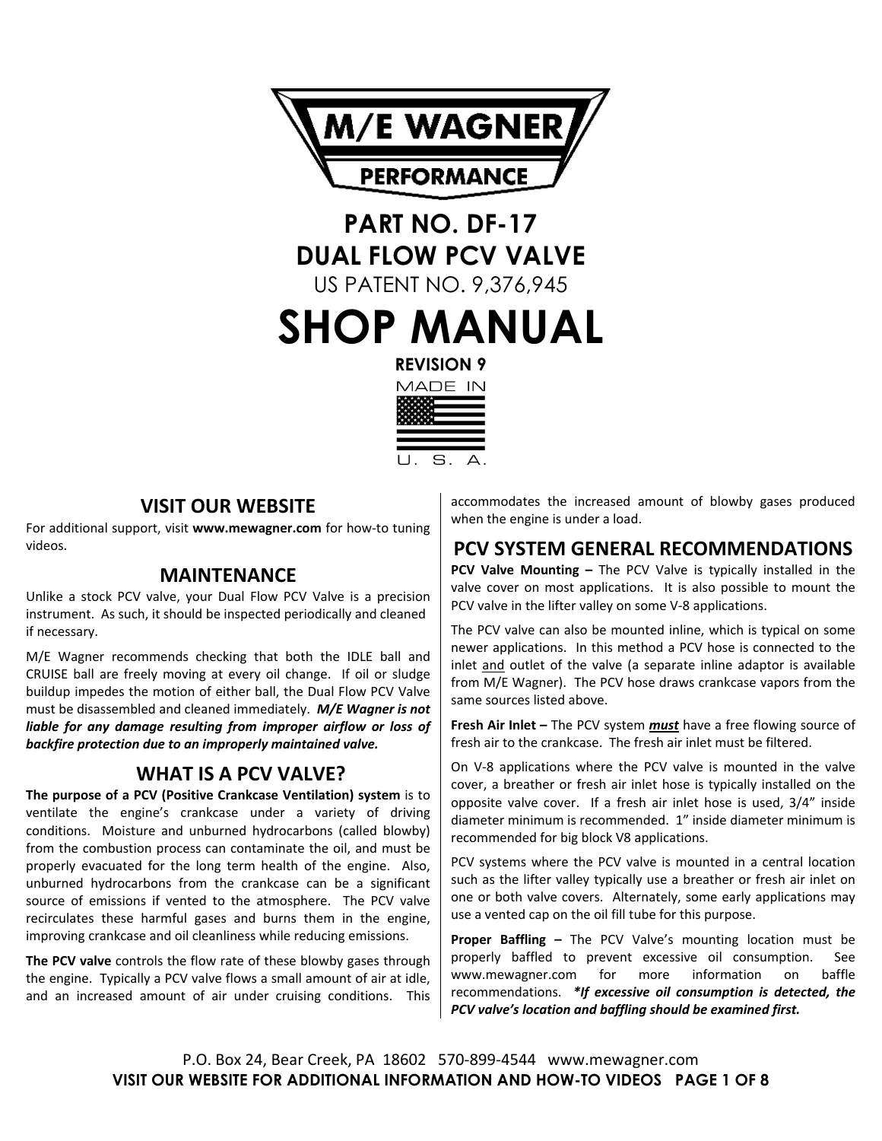

## **PART NO. DF-17 DUAL FLOW PCV VALVE**  US PATENT NO. 9,376,945

# **SHOP MANUAL**

**REVISION 9** 



## **VISIT OUR WEBSITE**

For additional support, visit www.mewagner.com for how-to tuning videos.

## **MAINTENANCE**

Unlike a stock PCV valve, your Dual Flow PCV Valve is a precision instrument. As such, it should be inspected periodically and cleaned if necessary.

M/E Wagner recommends checking that both the IDLE ball and CRUISE ball are freely moving at every oil change. If oil or sludge buildup impedes the motion of either ball, the Dual Flow PCV Valve must be disassembled and cleaned immediately. *M/E Wagner is not liable for any damage resulting from improper airflow or loss of backfire protection due to an improperly maintained valve.*

### **WHAT IS A PCV VALVE?**

**The purpose of a PCV (Positive Crankcase Ventilation) system** is to ventilate the engine's crankcase under a variety of driving conditions. Moisture and unburned hydrocarbons (called blowby) from the combustion process can contaminate the oil, and must be properly evacuated for the long term health of the engine. Also, unburned hydrocarbons from the crankcase can be a significant source of emissions if vented to the atmosphere. The PCV valve recirculates these harmful gases and burns them in the engine, improving crankcase and oil cleanliness while reducing emissions.

**The PCV valve** controls the flow rate of these blowby gases through the engine. Typically a PCV valve flows a small amount of air at idle, and an increased amount of air under cruising conditions. This accommodates the increased amount of blowby gases produced when the engine is under a load.

## **PCV SYSTEM GENERAL RECOMMENDATIONS**

**PCV Valve Mounting –** The PCV Valve is typically installed in the valve cover on most applications. It is also possible to mount the PCV valve in the lifter valley on some V-8 applications.

The PCV valve can also be mounted inline, which is typical on some newer applications. In this method a PCV hose is connected to the inlet and outlet of the valve (a separate inline adaptor is available from M/E Wagner). The PCV hose draws crankcase vapors from the same sources listed above.

**Fresh Air Inlet –** The PCV system *must* have a free flowing source of fresh air to the crankcase. The fresh air inlet must be filtered.

On V‐8 applications where the PCV valve is mounted in the valve cover, a breather or fresh air inlet hose is typically installed on the opposite valve cover. If a fresh air inlet hose is used, 3/4" inside diameter minimum is recommended. 1" inside diameter minimum is recommended for big block V8 applications.

PCV systems where the PCV valve is mounted in a central location such as the lifter valley typically use a breather or fresh air inlet on one or both valve covers. Alternately, some early applications may use a vented cap on the oil fill tube for this purpose.

**Proper Baffling –** The PCV Valve's mounting location must be properly baffled to prevent excessive oil consumption. See www.mewagner.com for more information on baffle recommendations. *\*If excessive oil consumption is detected, the PCV valve's location and baffling should be examined first.*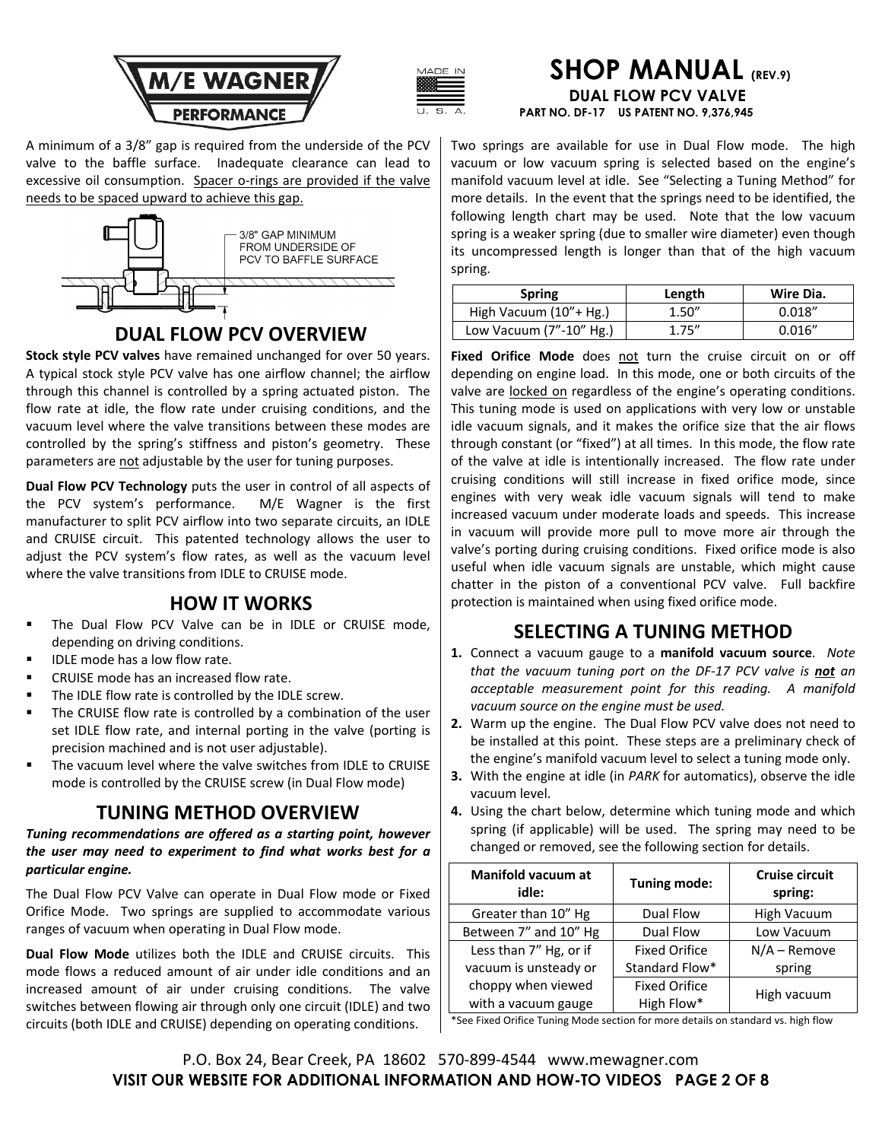



A minimum of a 3/8" gap is required from the underside of the PCV valve to the baffle surface. Inadequate clearance can lead to excessive oil consumption. Spacer o-rings are provided if the valve needs to be spaced upward to achieve this gap.



## **DUAL FLOW PCV OVERVIEW**

**Stock style PCV valves** have remained unchanged for over 50 years. A typical stock style PCV valve has one airflow channel; the airflow through this channel is controlled by a spring actuated piston. The flow rate at idle, the flow rate under cruising conditions, and the vacuum level where the valve transitions between these modes are controlled by the spring's stiffness and piston's geometry. These parameters are not adjustable by the user for tuning purposes.

**Dual Flow PCV Technology** puts the user in control of all aspects of the PCV system's performance. M/E Wagner is the first manufacturer to split PCV airflow into two separate circuits, an IDLE and CRUISE circuit. This patented technology allows the user to adjust the PCV system's flow rates, as well as the vacuum level where the valve transitions from IDLE to CRUISE mode.

## **HOW IT WORKS**

- The Dual Flow PCV Valve can be in IDLE or CRUISE mode, depending on driving conditions.
- IDLE mode has a low flow rate.
- CRUISE mode has an increased flow rate.
- The IDLE flow rate is controlled by the IDLE screw.
- The CRUISE flow rate is controlled by a combination of the user set IDLE flow rate, and internal porting in the valve (porting is precision machined and is not user adjustable).
- The vacuum level where the valve switches from IDLE to CRUISE mode is controlled by the CRUISE screw (in Dual Flow mode)

## **TUNING METHOD OVERVIEW**

#### *Tuning recommendations are offered as a starting point, however the user may need to experiment to find what works best for a particular engine.*

The Dual Flow PCV Valve can operate in Dual Flow mode or Fixed Orifice Mode. Two springs are supplied to accommodate various ranges of vacuum when operating in Dual Flow mode.

**Dual Flow Mode** utilizes both the IDLE and CRUISE circuits. This mode flows a reduced amount of air under idle conditions and an increased amount of air under cruising conditions. The valve switches between flowing air through only one circuit (IDLE) and two circuits (both IDLE and CRUISE) depending on operating conditions.

**M/E WAGNER**  $\blacksquare$  **SHOP MANUAL** (REV.9) **DUAL FLOW PCV VALVE PART NO. DF-17 US PART NO. 9,376,945** 

> Two springs are available for use in Dual Flow mode. The high vacuum or low vacuum spring is selected based on the engine's manifold vacuum level at idle. See "Selecting a Tuning Method" for more details. In the event that the springs need to be identified, the following length chart may be used. Note that the low vacuum spring is a weaker spring (due to smaller wire diameter) even though its uncompressed length is longer than that of the high vacuum spring.

| <b>Spring</b>           | Length | Wire Dia. |
|-------------------------|--------|-----------|
| High Vacuum (10"+ Hg.)  | 1.50'' | 0.018''   |
| Low Vacuum (7"-10" Hg.) | 1.75'' | 0.016''   |

Fixed Orifice Mode does not turn the cruise circuit on or off depending on engine load. In this mode, one or both circuits of the valve are locked on regardless of the engine's operating conditions. This tuning mode is used on applications with very low or unstable idle vacuum signals, and it makes the orifice size that the air flows through constant (or "fixed") at all times. In this mode, the flow rate of the valve at idle is intentionally increased. The flow rate under cruising conditions will still increase in fixed orifice mode, since engines with very weak idle vacuum signals will tend to make increased vacuum under moderate loads and speeds. This increase in vacuum will provide more pull to move more air through the valve's porting during cruising conditions. Fixed orifice mode is also useful when idle vacuum signals are unstable, which might cause chatter in the piston of a conventional PCV valve. Full backfire protection is maintained when using fixed orifice mode.

## **SELECTING A TUNING METHOD**

- **1.** Connect a vacuum gauge to a **manifold vacuum source**. *Note that the vacuum tuning port on the DF‐17 PCV valve is not an acceptable measurement point for this reading. A manifold vacuum source on the engine must be used.*
- **2.** Warm up the engine. The Dual Flow PCV valve does not need to be installed at this point. These steps are a preliminary check of the engine's manifold vacuum level to select a tuning mode only.
- **3.** With the engine at idle (in *PARK* for automatics), observe the idle vacuum level.
- **4.** Using the chart below, determine which tuning mode and which spring (if applicable) will be used. The spring may need to be changed or removed, see the following section for details.

| <b>Manifold vacuum at</b><br>idle: | <b>Tuning mode:</b>  | <b>Cruise circuit</b><br>spring: |  |
|------------------------------------|----------------------|----------------------------------|--|
| Greater than 10" Hg                | Dual Flow            | <b>High Vacuum</b>               |  |
| Between 7" and 10" Hg              | Dual Flow            | Low Vacuum                       |  |
| Less than 7" Hg, or if             | <b>Fixed Orifice</b> | $N/A -$ Remove                   |  |
| vacuum is unsteady or              | Standard Flow*       | spring                           |  |
| choppy when viewed                 | <b>Fixed Orifice</b> | High vacuum                      |  |
| with a vacuum gauge                | High Flow*           |                                  |  |

\*See Fixed Orifice Tuning Mode section for more details on standard vs. high flow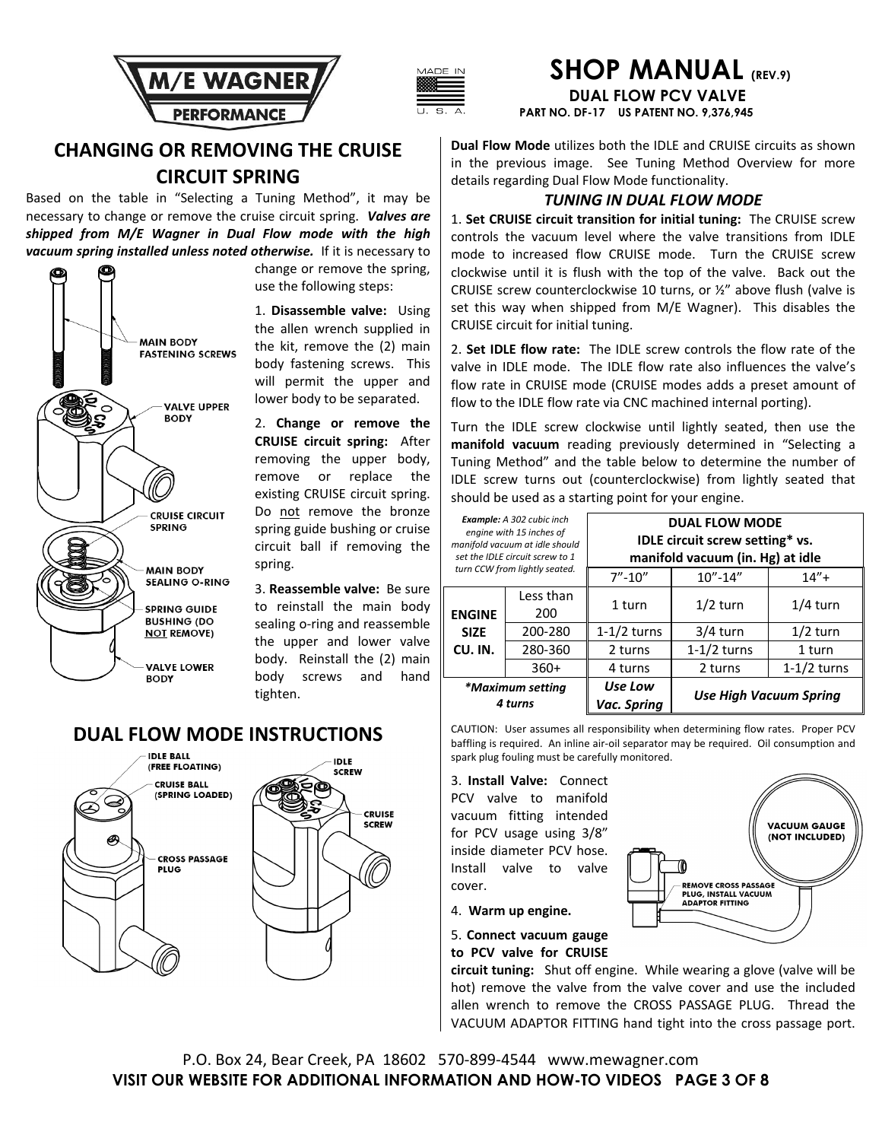



## **M/E WAGNER SHOP MANUAL** (REV.9)

## **CHANGING OR REMOVING THE CRUISE CIRCUIT SPRING**

Based on the table in "Selecting a Tuning Method", it may be necessary to change or remove the cruise circuit spring. *Valves are shipped from M/E Wagner in Dual Flow mode with the high vacuum spring installed unless noted otherwise.* If it is necessary to



change or remove the spring, use the following steps:

1. **Disassemble valve:** Using the allen wrench supplied in the kit, remove the (2) main body fastening screws. This will permit the upper and lower body to be separated.

2. **Change or remove the CRUISE circuit spring:** After removing the upper body, remove or replace the existing CRUISE circuit spring. Do not remove the bronze spring guide bushing or cruise circuit ball if removing the spring.

3. **Reassemble valve:** Be sure to reinstall the main body sealing o-ring and reassemble the upper and lower valve body. Reinstall the (2) main body screws and hand tighten.

## **DUAL FLOW MODE INSTRUCTIONS**



**Dual Flow Mode** utilizes both the IDLE and CRUISE circuits as shown in the previous image. See Tuning Method Overview for more details regarding Dual Flow Mode functionality.

#### *TUNING IN DUAL FLOW MODE*

1. **Set CRUISE circuit transition for initial tuning:** The CRUISE screw controls the vacuum level where the valve transitions from IDLE mode to increased flow CRUISE mode. Turn the CRUISE screw clockwise until it is flush with the top of the valve. Back out the CRUISE screw counterclockwise 10 turns, or ½" above flush (valve is set this way when shipped from M/E Wagner). This disables the CRUISE circuit for initial tuning.

2. **Set IDLE flow rate:** The IDLE screw controls the flow rate of the valve in IDLE mode. The IDLE flow rate also influences the valve's flow rate in CRUISE mode (CRUISE modes adds a preset amount of flow to the IDLE flow rate via CNC machined internal porting).

Turn the IDLE screw clockwise until lightly seated, then use the **manifold vacuum** reading previously determined in "Selecting a Tuning Method" and the table below to determine the number of IDLE screw turns out (counterclockwise) from lightly seated that should be used as a starting point for your engine.

| Example: A 302 cubic inch<br>engine with 15 inches of<br>manifold vacuum at idle should<br>set the IDLE circuit screw to 1<br>turn CCW from lightly seated. |                  | <b>DUAL FLOW MODE</b><br>IDLE circuit screw setting* vs.<br>manifold vacuum (in. Hg) at idle |                               |               |
|-------------------------------------------------------------------------------------------------------------------------------------------------------------|------------------|----------------------------------------------------------------------------------------------|-------------------------------|---------------|
|                                                                                                                                                             |                  | $7''-10''$                                                                                   | $10'' - 14''$                 | $14" +$       |
| <b>ENGINE</b>                                                                                                                                               | Less than<br>200 | 1 turn                                                                                       | $1/2$ turn                    | $1/4$ turn    |
| <b>SIZE</b>                                                                                                                                                 | 200-280          | $1-1/2$ turns                                                                                | $3/4$ turn                    | $1/2$ turn    |
| CU. IN.                                                                                                                                                     | 280-360          | 2 turns                                                                                      | $1-1/2$ turns                 | 1 turn        |
|                                                                                                                                                             | $360+$           | 4 turns                                                                                      | 2 turns                       | $1-1/2$ turns |
| *Maximum setting<br>4 turns                                                                                                                                 |                  | Use Low<br>Vac. Spring                                                                       | <b>Use High Vacuum Spring</b> |               |

CAUTION: User assumes all responsibility when determining flow rates. Proper PCV baffling is required. An inline air‐oil separator may be required. Oil consumption and spark plug fouling must be carefully monitored.

> **VACUUM GAUGE** (NOT INCLUDED)

**REMOVE CROSS PASSAGE PLUG, INSTALL VACUUM<br>ADAPTOR FITTING** 

3. **Install Valve:** Connect PCV valve to manifold vacuum fitting intended for PCV usage using 3/8" inside diameter PCV hose. Install valve to valve cover.

4. **Warm up engine.**

5. **Connect vacuum gauge to PCV valve for CRUISE**

**circuit tuning:** Shut off engine. While wearing a glove (valve will be hot) remove the valve from the valve cover and use the included allen wrench to remove the CROSS PASSAGE PLUG. Thread the VACUUM ADAPTOR FITTING hand tight into the cross passage port.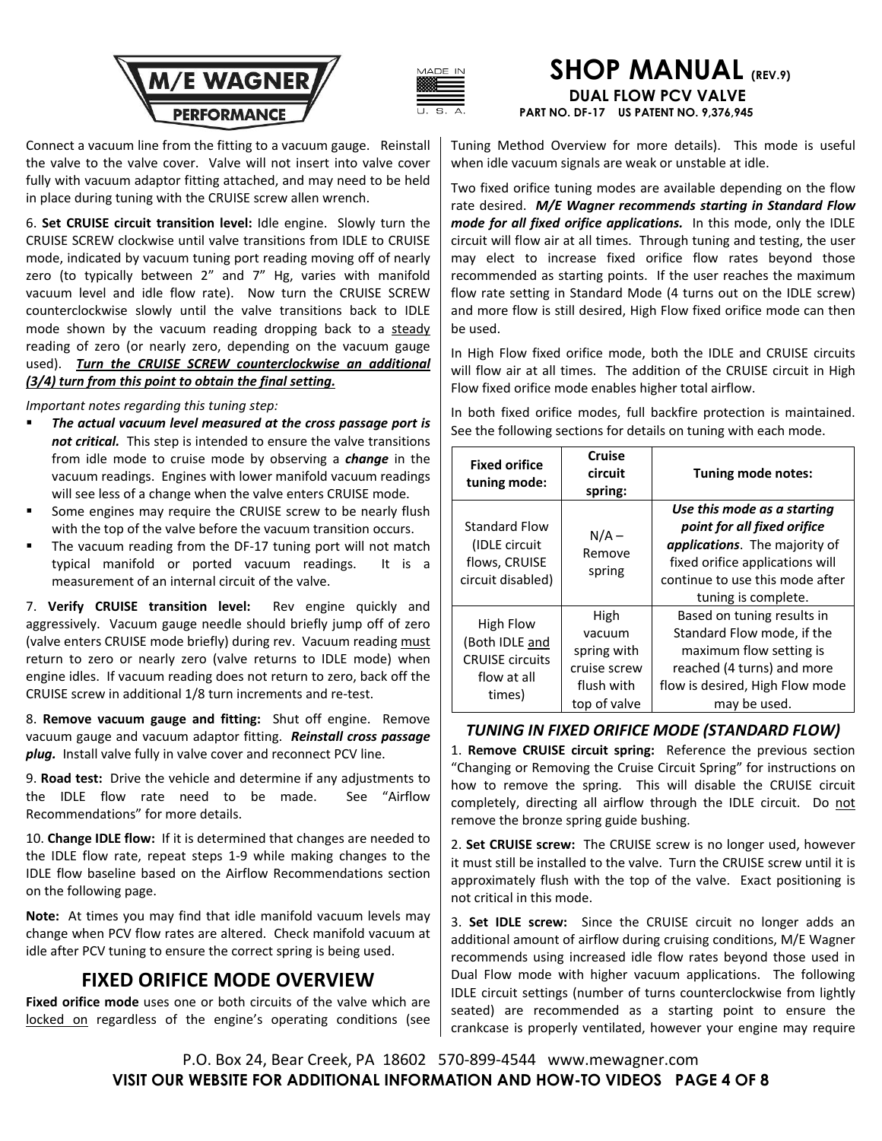



Connect a vacuum line from the fitting to a vacuum gauge. Reinstall the valve to the valve cover. Valve will not insert into valve cover fully with vacuum adaptor fitting attached, and may need to be held in place during tuning with the CRUISE screw allen wrench.

6. **Set CRUISE circuit transition level:** Idle engine. Slowly turn the CRUISE SCREW clockwise until valve transitions from IDLE to CRUISE mode, indicated by vacuum tuning port reading moving off of nearly zero (to typically between 2" and 7" Hg, varies with manifold vacuum level and idle flow rate). Now turn the CRUISE SCREW counterclockwise slowly until the valve transitions back to IDLE mode shown by the vacuum reading dropping back to a steady reading of zero (or nearly zero, depending on the vacuum gauge used). *Turn the CRUISE SCREW counterclockwise an additional (3/4) turn from this point to obtain the final setting.*

*Important notes regarding this tuning step:*

- *The actual vacuum level measured at the cross passage port is not critical.* This step is intended to ensure the valve transitions from idle mode to cruise mode by observing a *change* in the vacuum readings. Engines with lower manifold vacuum readings will see less of a change when the valve enters CRUISE mode.
- Some engines may require the CRUISE screw to be nearly flush with the top of the valve before the vacuum transition occurs.
- The vacuum reading from the DF‐17 tuning port will not match typical manifold or ported vacuum readings. It is a measurement of an internal circuit of the valve.

7. **Verify CRUISE transition level:** Rev engine quickly and aggressively. Vacuum gauge needle should briefly jump off of zero (valve enters CRUISE mode briefly) during rev. Vacuum reading must return to zero or nearly zero (valve returns to IDLE mode) when engine idles. If vacuum reading does not return to zero, back off the CRUISE screw in additional 1/8 turn increments and re‐test.

8. **Remove vacuum gauge and fitting:** Shut off engine. Remove vacuum gauge and vacuum adaptor fitting. *Reinstall cross passage plug.* Install valve fully in valve cover and reconnect PCV line.

9. **Road test:** Drive the vehicle and determine if any adjustments to the IDLE flow rate need to be made. See "Airflow Recommendations" for more details.

10. **Change IDLE flow:** If it is determined that changes are needed to the IDLE flow rate, repeat steps 1‐9 while making changes to the IDLE flow baseline based on the Airflow Recommendations section on the following page.

**Note:** At times you may find that idle manifold vacuum levels may change when PCV flow rates are altered. Check manifold vacuum at idle after PCV tuning to ensure the correct spring is being used.

## **FIXED ORIFICE MODE OVERVIEW**

**Fixed orifice mode** uses one or both circuits of the valve which are locked on regardless of the engine's operating conditions (see

**M/E WAGNER**  $\blacksquare$  **SHOP MANUAL** (REV.9) **DUAL FLOW PCV VALVE**<br> **PERFORMANCE** PART NO. DF-17 US PATENT NO. 9,376,945

> Tuning Method Overview for more details). This mode is useful when idle vacuum signals are weak or unstable at idle.

> Two fixed orifice tuning modes are available depending on the flow rate desired. *M/E Wagner recommends starting in Standard Flow mode for all fixed orifice applications.* In this mode, only the IDLE circuit will flow air at all times. Through tuning and testing, the user may elect to increase fixed orifice flow rates beyond those recommended as starting points. If the user reaches the maximum flow rate setting in Standard Mode (4 turns out on the IDLE screw) and more flow is still desired, High Flow fixed orifice mode can then be used.

> In High Flow fixed orifice mode, both the IDLE and CRUISE circuits will flow air at all times. The addition of the CRUISE circuit in High Flow fixed orifice mode enables higher total airflow.

> In both fixed orifice modes, full backfire protection is maintained. See the following sections for details on tuning with each mode.

| <b>Fixed orifice</b><br>tuning mode:                                           | Cruise<br>circuit<br>spring:                                                | Tuning mode notes:                                                                                                                                                                       |
|--------------------------------------------------------------------------------|-----------------------------------------------------------------------------|------------------------------------------------------------------------------------------------------------------------------------------------------------------------------------------|
| <b>Standard Flow</b><br>(IDLE circuit<br>flows, CRUISE<br>circuit disabled)    | $N/A -$<br>Remove<br>spring                                                 | Use this mode as a starting<br>point for all fixed orifice<br>applications. The majority of<br>fixed orifice applications will<br>continue to use this mode after<br>tuning is complete. |
| High Flow<br>(Both IDLE and<br><b>CRUISE</b> circuits<br>flow at all<br>times) | High<br>vacuum<br>spring with<br>cruise screw<br>flush with<br>top of valve | Based on tuning results in<br>Standard Flow mode, if the<br>maximum flow setting is<br>reached (4 turns) and more<br>flow is desired, High Flow mode<br>may be used.                     |

#### *TUNING IN FIXED ORIFICE MODE (STANDARD FLOW)*

1. **Remove CRUISE circuit spring:** Reference the previous section "Changing or Removing the Cruise Circuit Spring" for instructions on how to remove the spring. This will disable the CRUISE circuit completely, directing all airflow through the IDLE circuit. Do not remove the bronze spring guide bushing.

2. **Set CRUISE screw:** The CRUISE screw is no longer used, however it must still be installed to the valve. Turn the CRUISE screw until it is approximately flush with the top of the valve. Exact positioning is not critical in this mode.

3. **Set IDLE screw:** Since the CRUISE circuit no longer adds an additional amount of airflow during cruising conditions, M/E Wagner recommends using increased idle flow rates beyond those used in Dual Flow mode with higher vacuum applications. The following IDLE circuit settings (number of turns counterclockwise from lightly seated) are recommended as a starting point to ensure the crankcase is properly ventilated, however your engine may require

P.O. Box 24, Bear Creek, PA 18602 570‐899‐4544 www.mewagner.com **VISIT OUR WEBSITE FOR ADDITIONAL INFORMATION AND HOW-TO VIDEOS PAGE 4 OF 8**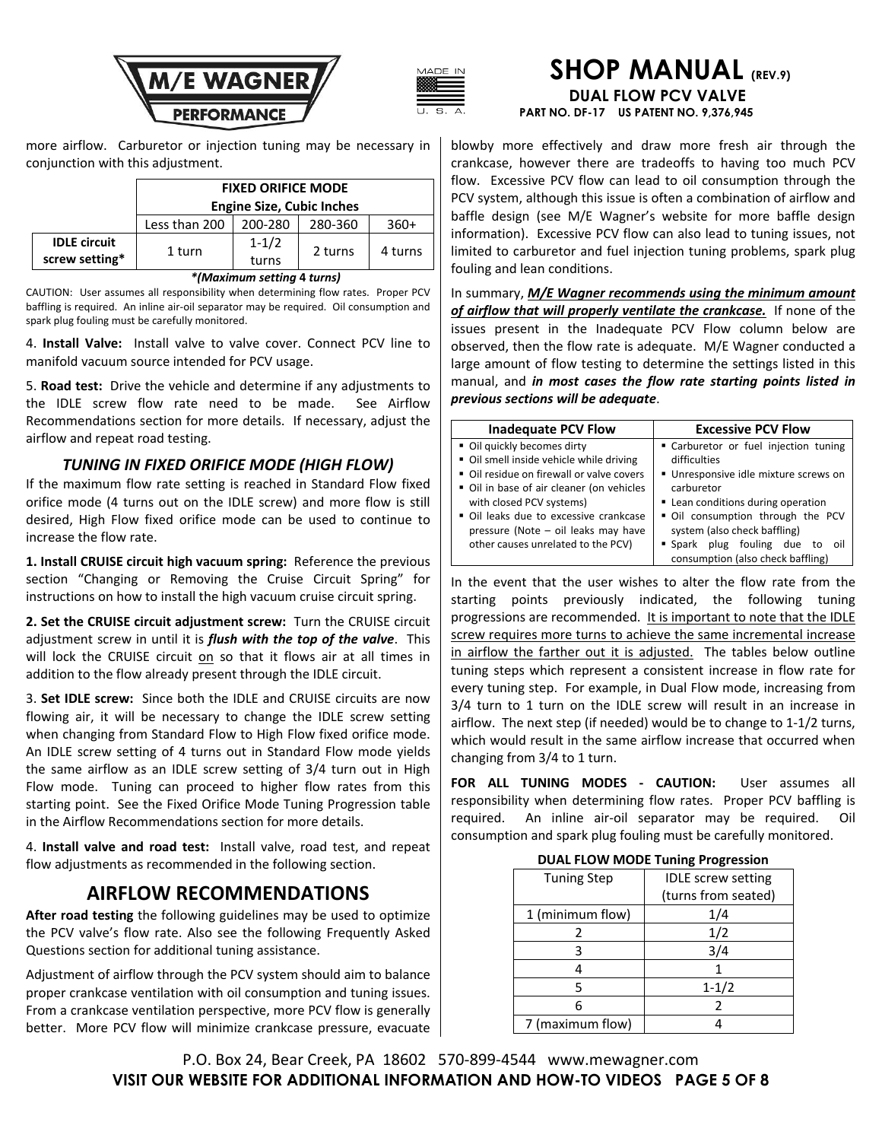



more airflow. Carburetor or injection tuning may be necessary in conjunction with this adjustment.

|                     | <b>FIXED ORIFICE MODE</b>        |           |         |         |
|---------------------|----------------------------------|-----------|---------|---------|
|                     | <b>Engine Size, Cubic Inches</b> |           |         |         |
|                     | Less than 200                    | 200-280   | 280-360 | 360+    |
| <b>IDLE</b> circuit | 1 turn                           | $1 - 1/2$ | 2 turns | 4 turns |
| screw setting*      |                                  | turns     |         |         |

 *\*(Maximum setting* **4** *turns)*

CAUTION: User assumes all responsibility when determining flow rates. Proper PCV baffling is required. An inline air‐oil separator may be required. Oil consumption and spark plug fouling must be carefully monitored.

4. **Install Valve:** Install valve to valve cover. Connect PCV line to manifold vacuum source intended for PCV usage.

5. **Road test:** Drive the vehicle and determine if any adjustments to the IDLE screw flow rate need to be made. See Airflow Recommendations section for more details. If necessary, adjust the airflow and repeat road testing.

#### *TUNING IN FIXED ORIFICE MODE (HIGH FLOW)*

If the maximum flow rate setting is reached in Standard Flow fixed orifice mode (4 turns out on the IDLE screw) and more flow is still desired, High Flow fixed orifice mode can be used to continue to increase the flow rate.

**1. Install CRUISE circuit high vacuum spring:** Reference the previous section "Changing or Removing the Cruise Circuit Spring" for instructions on how to install the high vacuum cruise circuit spring.

**2. Set the CRUISE circuit adjustment screw:** Turn the CRUISE circuit adjustment screw in until it is *flush with the top of the valve*. This will lock the CRUISE circuit on so that it flows air at all times in addition to the flow already present through the IDLE circuit.

3. **Set IDLE screw:** Since both the IDLE and CRUISE circuits are now flowing air, it will be necessary to change the IDLE screw setting when changing from Standard Flow to High Flow fixed orifice mode. An IDLE screw setting of 4 turns out in Standard Flow mode yields the same airflow as an IDLE screw setting of 3/4 turn out in High Flow mode. Tuning can proceed to higher flow rates from this starting point. See the Fixed Orifice Mode Tuning Progression table in the Airflow Recommendations section for more details.

4. **Install valve and road test:** Install valve, road test, and repeat flow adjustments as recommended in the following section.

## **AIRFLOW RECOMMENDATIONS**

**After road testing** the following guidelines may be used to optimize the PCV valve's flow rate. Also see the following Frequently Asked Questions section for additional tuning assistance.

Adjustment of airflow through the PCV system should aim to balance proper crankcase ventilation with oil consumption and tuning issues. From a crankcase ventilation perspective, more PCV flow is generally better. More PCV flow will minimize crankcase pressure, evacuate

**DUAL FLOW PCV VALVE**<br> **PERFORMANCE** PART NO. DF-17 US PATENT NO. 9,376,945

blowby more effectively and draw more fresh air through the crankcase, however there are tradeoffs to having too much PCV flow. Excessive PCV flow can lead to oil consumption through the PCV system, although this issue is often a combination of airflow and baffle design (see M/E Wagner's website for more baffle design information). Excessive PCV flow can also lead to tuning issues, not limited to carburetor and fuel injection tuning problems, spark plug fouling and lean conditions.

In summary, *M/E Wagner recommends using the minimum amount of airflow that will properly ventilate the crankcase.* If none of the issues present in the Inadequate PCV Flow column below are observed, then the flow rate is adequate. M/E Wagner conducted a large amount of flow testing to determine the settings listed in this manual, and *in most cases the flow rate starting points listed in previous sections will be adequate*.

| <b>Inadequate PCV Flow</b>                | <b>Excessive PCV Flow</b>             |  |
|-------------------------------------------|---------------------------------------|--|
| Oil quickly becomes dirty                 | " Carburetor or fuel injection tuning |  |
| • Oil smell inside vehicle while driving  | difficulties                          |  |
| • Oil residue on firewall or valve covers | Unresponsive idle mixture screws on   |  |
| Oil in base of air cleaner (on vehicles   | carburetor                            |  |
| with closed PCV systems)                  | • Lean conditions during operation    |  |
| • Oil leaks due to excessive crankcase    | . Oil consumption through the PCV     |  |
| pressure (Note - oil leaks may have       | system (also check baffling)          |  |
| other causes unrelated to the PCV)        | Spark plug fouling due to<br>oil      |  |
|                                           | consumption (also check baffling)     |  |

In the event that the user wishes to alter the flow rate from the starting points previously indicated, the following tuning progressions are recommended. It is important to note that the IDLE screw requires more turns to achieve the same incremental increase in airflow the farther out it is adjusted. The tables below outline tuning steps which represent a consistent increase in flow rate for every tuning step. For example, in Dual Flow mode, increasing from 3/4 turn to 1 turn on the IDLE screw will result in an increase in airflow. The next step (if needed) would be to change to 1‐1/2 turns, which would result in the same airflow increase that occurred when changing from 3/4 to 1 turn.

**FOR ALL TUNING MODES ‐ CAUTION:** User assumes all responsibility when determining flow rates. Proper PCV baffling is required. An inline air-oil separator may be required. Oil consumption and spark plug fouling must be carefully monitored.

| <b>DOALTLOW INODE TURING FROGRESSION</b> |                           |  |
|------------------------------------------|---------------------------|--|
| <b>Tuning Step</b>                       | <b>IDLE</b> screw setting |  |
|                                          | (turns from seated)       |  |
| 1 (minimum flow)                         | 1/4                       |  |
|                                          | 1/2                       |  |
|                                          | 3/4                       |  |
|                                          |                           |  |
|                                          | $1 - 1/2$                 |  |
|                                          | 2                         |  |
| 7 (maximum flow)                         |                           |  |

#### **DUAL FLOW MODE Tuning Progression**

P.O. Box 24, Bear Creek, PA 18602 570‐899‐4544 www.mewagner.com **VISIT OUR WEBSITE FOR ADDITIONAL INFORMATION AND HOW-TO VIDEOS PAGE 5 OF 8**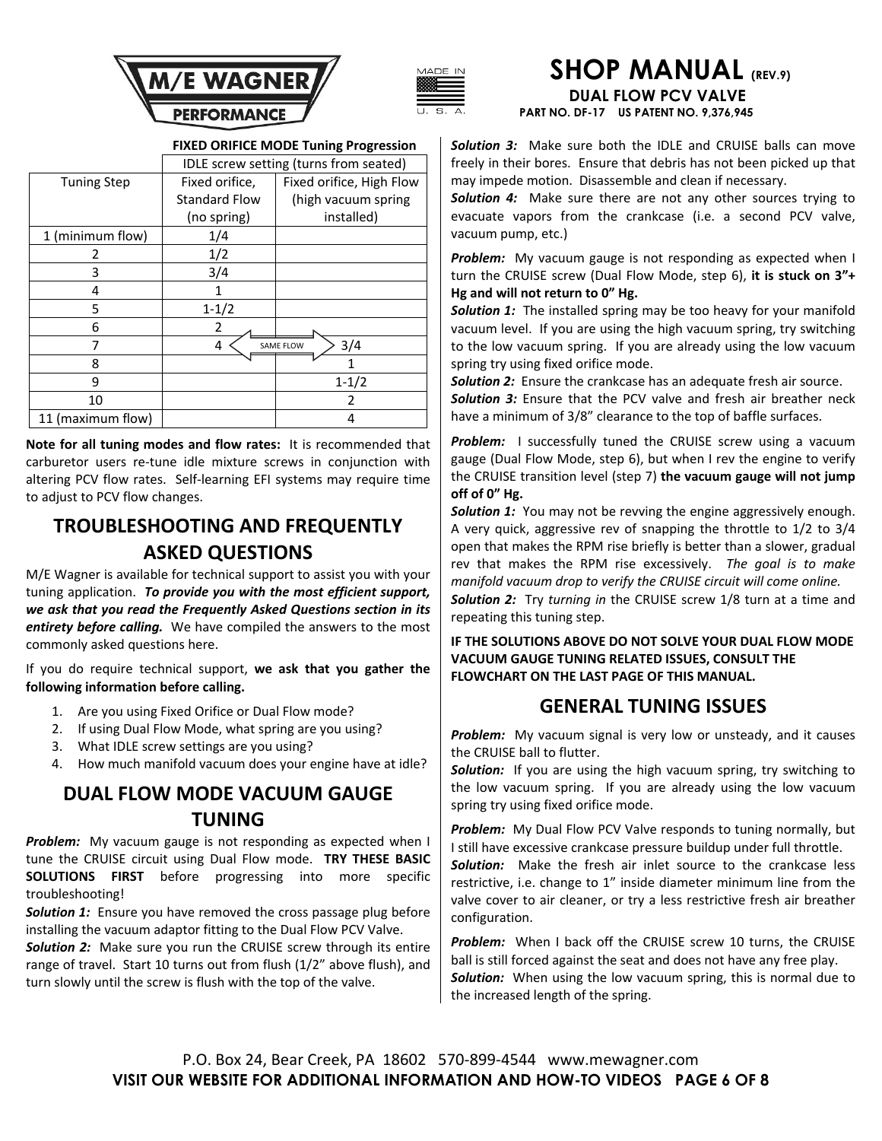



#### **FIXED ORIFICE MODE Tuning Progression**

|                    | IDLE screw setting (turns from seated) |                          |
|--------------------|----------------------------------------|--------------------------|
| <b>Tuning Step</b> | Fixed orifice,                         | Fixed orifice, High Flow |
|                    | <b>Standard Flow</b>                   | (high vacuum spring      |
|                    | (no spring)                            | installed)               |
| 1 (minimum flow)   | 1/4                                    |                          |
| 2                  | 1/2                                    |                          |
| 3                  | 3/4                                    |                          |
| 4                  |                                        |                          |
| 5                  | $1 - 1/2$                              |                          |
| 6                  | 2                                      |                          |
| 7                  | 3/4<br>4<br>SAME FLOW                  |                          |
| 8                  |                                        |                          |
| 9                  |                                        | $1 - 1/2$                |
| 10                 |                                        | $\mathcal{P}$            |
| 11 (maximum flow)  |                                        | 4                        |

**Note for all tuning modes and flow rates:** It is recommended that carburetor users re-tune idle mixture screws in conjunction with altering PCV flow rates. Self‐learning EFI systems may require time to adjust to PCV flow changes.

## **TROUBLESHOOTING AND FREQUENTLY ASKED QUESTIONS**

M/E Wagner is available for technical support to assist you with your tuning application. *To provide you with the most efficient support, we ask that you read the Frequently Asked Questions section in its entirety before calling.* We have compiled the answers to the most commonly asked questions here.

If you do require technical support, **we ask that you gather the following information before calling.**

- 1. Are you using Fixed Orifice or Dual Flow mode?
- 2. If using Dual Flow Mode, what spring are you using?
- 3. What IDLE screw settings are you using?
- 4. How much manifold vacuum does your engine have at idle?

## **DUAL FLOW MODE VACUUM GAUGE TUNING**

*Problem:* My vacuum gauge is not responding as expected when I tune the CRUISE circuit using Dual Flow mode. **TRY THESE BASIC SOLUTIONS FIRST** before progressing into more specific troubleshooting!

**Solution 1:** Ensure you have removed the cross passage plug before installing the vacuum adaptor fitting to the Dual Flow PCV Valve.

*Solution 2:* Make sure you run the CRUISE screw through its entire range of travel. Start 10 turns out from flush (1/2" above flush), and turn slowly until the screw is flush with the top of the valve.

**DUAL FLOW PCV VALVE PERFORMANCE** 

**Solution 3:** Make sure both the IDLE and CRUISE balls can move freely in their bores. Ensure that debris has not been picked up that may impede motion. Disassemble and clean if necessary.

**Solution 4:** Make sure there are not any other sources trying to evacuate vapors from the crankcase (i.e. a second PCV valve, vacuum pump, etc.)

*Problem:* My vacuum gauge is not responding as expected when I turn the CRUISE screw (Dual Flow Mode, step 6), **it is stuck on 3"+ Hg and will not return to 0" Hg.**

**Solution 1:** The installed spring may be too heavy for your manifold vacuum level. If you are using the high vacuum spring, try switching to the low vacuum spring. If you are already using the low vacuum spring try using fixed orifice mode.

*Solution 2:* Ensure the crankcase has an adequate fresh air source. *Solution 3:* Ensure that the PCV valve and fresh air breather neck have a minimum of 3/8" clearance to the top of baffle surfaces.

**Problem:** I successfully tuned the CRUISE screw using a vacuum gauge (Dual Flow Mode, step 6), but when I rev the engine to verify the CRUISE transition level (step 7) **the vacuum gauge will not jump off of 0" Hg.**

*Solution 1:* You may not be revving the engine aggressively enough. A very quick, aggressive rev of snapping the throttle to 1/2 to 3/4 open that makes the RPM rise briefly is better than a slower, gradual rev that makes the RPM rise excessively. *The goal is to make manifold vacuum drop to verify the CRUISE circuit will come online. Solution 2:* Try *turning in* the CRUISE screw 1/8 turn at a time and repeating this tuning step.

**IF THE SOLUTIONS ABOVE DO NOT SOLVE YOUR DUAL FLOW MODE VACUUM GAUGE TUNING RELATED ISSUES, CONSULT THE FLOWCHART ON THE LAST PAGE OF THIS MANUAL.**

### **GENERAL TUNING ISSUES**

*Problem:* My vacuum signal is very low or unsteady, and it causes the CRUISE ball to flutter.

*Solution:* If you are using the high vacuum spring, try switching to the low vacuum spring. If you are already using the low vacuum spring try using fixed orifice mode.

**Problem:** My Dual Flow PCV Valve responds to tuning normally, but I still have excessive crankcase pressure buildup under full throttle.

**Solution:** Make the fresh air inlet source to the crankcase less restrictive, i.e. change to 1" inside diameter minimum line from the valve cover to air cleaner, or try a less restrictive fresh air breather configuration.

*Problem:* When I back off the CRUISE screw 10 turns, the CRUISE ball is still forced against the seat and does not have any free play. *Solution:* When using the low vacuum spring, this is normal due to the increased length of the spring.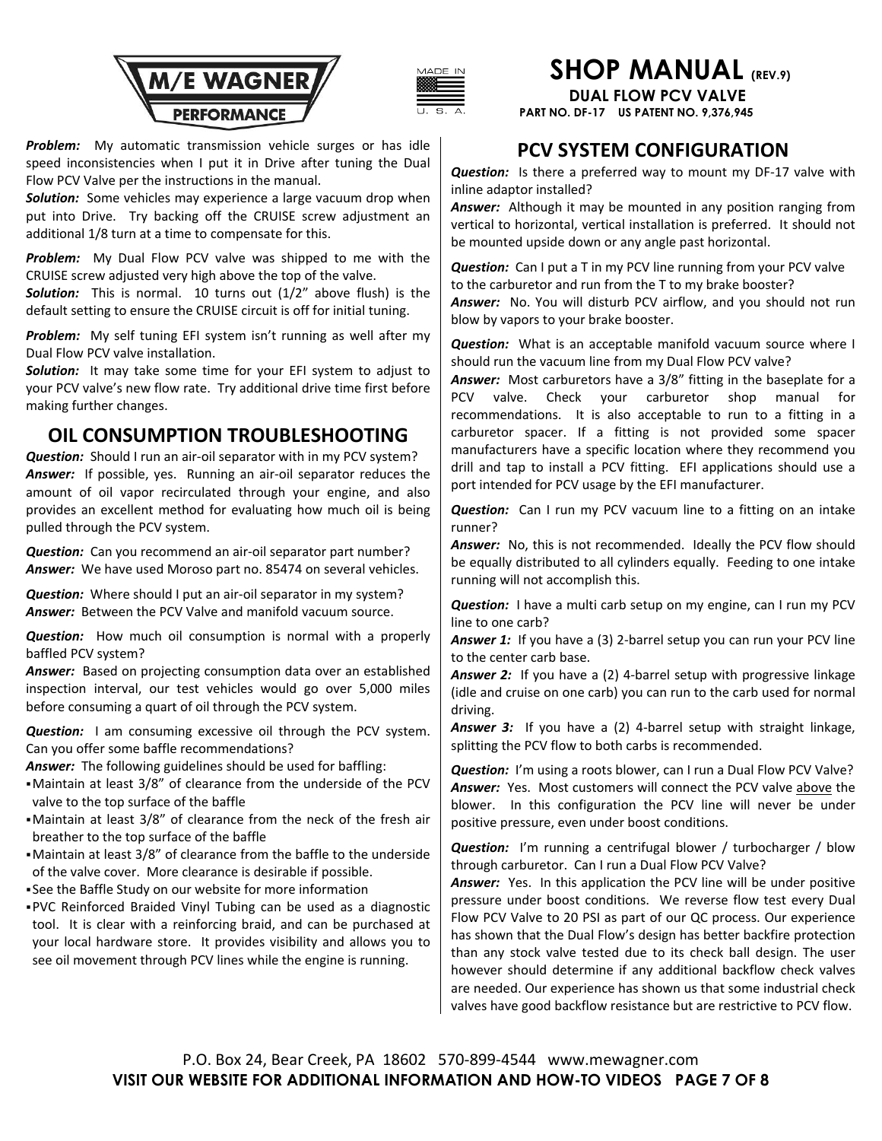



**Problem:** My automatic transmission vehicle surges or has idle speed inconsistencies when I put it in Drive after tuning the Dual Flow PCV Valve per the instructions in the manual.

**Solution:** Some vehicles may experience a large vacuum drop when put into Drive. Try backing off the CRUISE screw adjustment an additional 1/8 turn at a time to compensate for this.

**Problem:** My Dual Flow PCV valve was shipped to me with the CRUISE screw adjusted very high above the top of the valve.

**Solution:** This is normal. 10 turns out (1/2" above flush) is the default setting to ensure the CRUISE circuit is off for initial tuning.

*Problem:* My self tuning EFI system isn't running as well after my Dual Flow PCV valve installation.

Solution: It may take some time for your EFI system to adjust to your PCV valve's new flow rate. Try additional drive time first before making further changes.

## **OIL CONSUMPTION TROUBLESHOOTING**

*Question:* Should I run an air‐oil separator with in my PCV system? Answer: If possible, yes. Running an air-oil separator reduces the amount of oil vapor recirculated through your engine, and also provides an excellent method for evaluating how much oil is being pulled through the PCV system.

*Question:* Can you recommend an air‐oil separator part number? *Answer:* We have used Moroso part no. 85474 on several vehicles.

*Question:* Where should I put an air‐oil separator in my system? *Answer:* Between the PCV Valve and manifold vacuum source.

**Question:** How much oil consumption is normal with a properly baffled PCV system?

*Answer:* Based on projecting consumption data over an established inspection interval, our test vehicles would go over 5,000 miles before consuming a quart of oil through the PCV system.

**Question:** I am consuming excessive oil through the PCV system. Can you offer some baffle recommendations?

*Answer:* The following guidelines should be used for baffling:

- Maintain at least 3/8" of clearance from the underside of the PCV valve to the top surface of the baffle
- Maintain at least 3/8" of clearance from the neck of the fresh air breather to the top surface of the baffle
- Maintain at least 3/8" of clearance from the baffle to the underside of the valve cover. More clearance is desirable if possible.
- See the Baffle Study on our website for more information
- PVC Reinforced Braided Vinyl Tubing can be used as a diagnostic tool. It is clear with a reinforcing braid, and can be purchased at your local hardware store. It provides visibility and allows you to see oil movement through PCV lines while the engine is running.

**PCV SYSTEM CONFIGURATION**

**Question:** Is there a preferred way to mount my DF-17 valve with inline adaptor installed?

Answer: Although it may be mounted in any position ranging from vertical to horizontal, vertical installation is preferred. It should not be mounted upside down or any angle past horizontal.

**Question:** Can I put a T in my PCV line running from your PCV valve to the carburetor and run from the T to my brake booster? *Answer:* No. You will disturb PCV airflow, and you should not run blow by vapors to your brake booster.

*Question:* What is an acceptable manifold vacuum source where I should run the vacuum line from my Dual Flow PCV valve?

*Answer:* Most carburetors have a 3/8" fitting in the baseplate for a PCV valve. Check your carburetor shop manual for recommendations. It is also acceptable to run to a fitting in a carburetor spacer. If a fitting is not provided some spacer manufacturers have a specific location where they recommend you drill and tap to install a PCV fitting. EFI applications should use a port intended for PCV usage by the EFI manufacturer.

**Question:** Can I run my PCV vacuum line to a fitting on an intake runner?

Answer: No, this is not recommended. Ideally the PCV flow should be equally distributed to all cylinders equally. Feeding to one intake running will not accomplish this.

*Question:* I have a multi carb setup on my engine, can I run my PCV line to one carb?

*Answer 1:* If you have a (3) 2‐barrel setup you can run your PCV line to the center carb base.

*Answer 2:* If you have a (2) 4‐barrel setup with progressive linkage (idle and cruise on one carb) you can run to the carb used for normal driving.

Answer 3: If you have a (2) 4-barrel setup with straight linkage, splitting the PCV flow to both carbs is recommended.

**Question:** I'm using a roots blower, can I run a Dual Flow PCV Valve? *Answer:* Yes. Most customers will connect the PCV valve above the blower. In this configuration the PCV line will never be under positive pressure, even under boost conditions.

*Question:* I'm running a centrifugal blower / turbocharger / blow through carburetor. Can I run a Dual Flow PCV Valve?

*Answer:* Yes. In this application the PCV line will be under positive pressure under boost conditions. We reverse flow test every Dual Flow PCV Valve to 20 PSI as part of our QC process. Our experience has shown that the Dual Flow's design has better backfire protection than any stock valve tested due to its check ball design. The user however should determine if any additional backflow check valves are needed. Our experience has shown us that some industrial check valves have good backflow resistance but are restrictive to PCV flow.